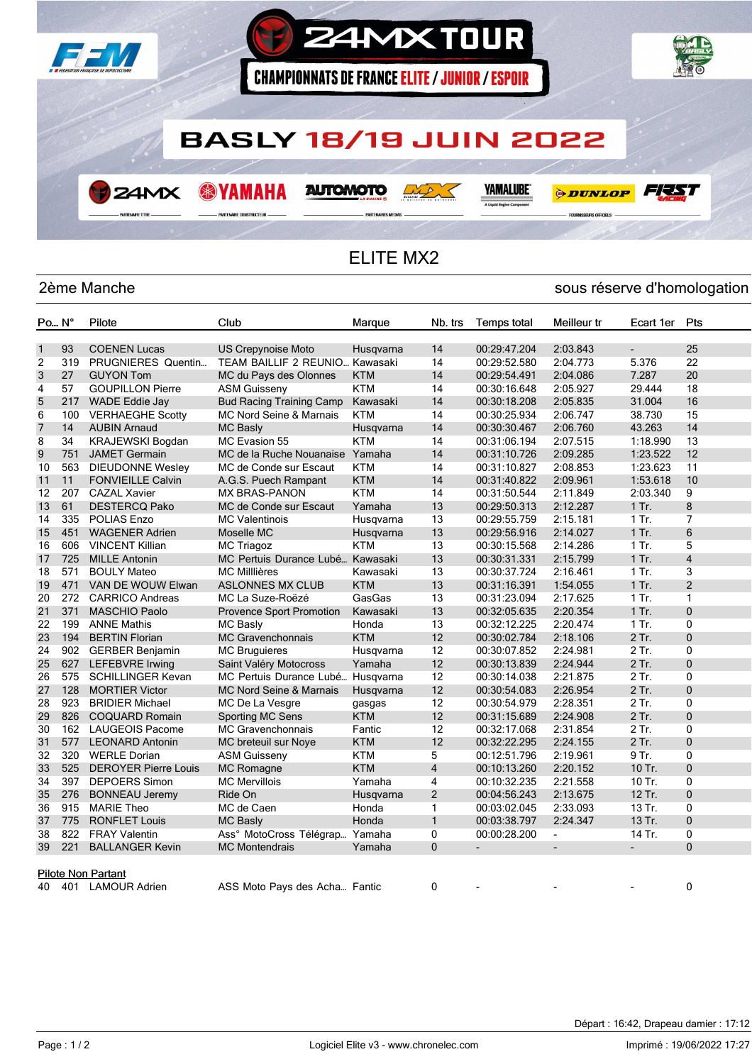

## ELITE MX2

## 2ème Manche sous réserve d'homologation

| Po N°          |     | Pilote                      | Club                               | Marque     | Nb. trs        | <b>Temps total</b> | Meilleur tr              | Ecart 1er      | Pts            |
|----------------|-----|-----------------------------|------------------------------------|------------|----------------|--------------------|--------------------------|----------------|----------------|
|                |     |                             |                                    |            |                |                    |                          |                |                |
| $\mathbf{1}$   | 93  | <b>COENEN Lucas</b>         | <b>US Crepynoise Moto</b>          | Husgvarna  | 14             | 00:29:47.204       | 2:03.843                 | ÷.             | 25             |
| $\overline{2}$ | 319 | PRUGNIERES Quentin          | TEAM BAILLIF 2 REUNIO Kawasaki     |            | 14             | 00:29:52.580       | 2:04.773                 | 5.376          | 22             |
| 3              | 27  | <b>GUYON Tom</b>            | MC du Pays des Olonnes             | <b>KTM</b> | 14             | 00:29:54.491       | 2:04.086                 | 7.287          | 20             |
| 4              | 57  | <b>GOUPILLON Pierre</b>     | <b>ASM Guisseny</b>                | <b>KTM</b> | 14             | 00:30:16.648       | 2:05.927                 | 29.444         | 18             |
| 5              | 217 | WADE Eddie Jay              | <b>Bud Racing Training Camp</b>    | Kawasaki   | 14             | 00:30:18.208       | 2:05.835                 | 31.004         | 16             |
| 6              | 100 | <b>VERHAEGHE Scotty</b>     | MC Nord Seine & Marnais            | <b>KTM</b> | 14             | 00:30:25.934       | 2:06.747                 | 38.730         | 15             |
| 7              | 14  | <b>AUBIN Arnaud</b>         | <b>MC Basly</b>                    | Husqvarna  | 14             | 00:30:30.467       | 2:06.760                 | 43.263         | 14             |
| 8              | 34  | <b>KRAJEWSKI Bogdan</b>     | MC Evasion 55                      | <b>KTM</b> | 14             | 00:31:06.194       | 2:07.515                 | 1:18.990       | 13             |
| 9              | 751 | <b>JAMET Germain</b>        | MC de la Ruche Nouanaise Yamaha    |            | 14             | 00:31:10.726       | 2:09.285                 | 1:23.522       | 12             |
| 10             | 563 | <b>DIEUDONNE Wesley</b>     | MC de Conde sur Escaut             | <b>KTM</b> | 14             | 00:31:10.827       | 2:08.853                 | 1:23.623       | 11             |
| 11             | 11  | <b>FONVIEILLE Calvin</b>    | A.G.S. Puech Rampant               | <b>KTM</b> | 14             | 00:31:40.822       | 2:09.961                 | 1:53.618       | 10             |
| 12             | 207 | <b>CAZAL Xavier</b>         | <b>MX BRAS-PANON</b>               | <b>KTM</b> | 14             | 00:31:50.544       | 2:11.849                 | 2:03.340       | 9              |
| 13             | 61  | <b>DESTERCQ Pako</b>        | MC de Conde sur Escaut             | Yamaha     | 13             | 00:29:50.313       | 2:12.287                 | $1$ Tr.        | 8              |
| 14             | 335 | <b>POLIAS Enzo</b>          | <b>MC Valentinois</b>              | Husgvarna  | 13             | 00:29:55.759       | 2:15.181                 | 1 Tr.          | 7              |
| 15             | 451 | <b>WAGENER Adrien</b>       | Moselle MC                         | Husqvarna  | 13             | 00:29:56.916       | 2:14.027                 | $1$ Tr.        | 6              |
| 16             | 606 | <b>VINCENT Killian</b>      | MC Triagoz                         | KTM        | 13             | 00:30:15.568       | 2:14.286                 | 1 Tr.          | 5              |
| 17             | 725 | <b>MILLE Antonin</b>        | MC Pertuis Durance Lubé            | Kawasaki   | 13             | 00:30:31.331       | 2:15.799                 | $1$ Tr.        | $\overline{4}$ |
| 18             | 571 | <b>BOULY Mateo</b>          | <b>MC Milllières</b>               | Kawasaki   | 13             | 00:30:37.724       | 2:16.461                 | $1$ Tr.        | 3              |
| 19             | 471 | VAN DE WOUW Elwan           | <b>ASLONNES MX CLUB</b>            | <b>KTM</b> | 13             | 00:31:16.391       | 1:54.055                 | $1$ Tr.        | $\overline{2}$ |
| 20             | 272 | CARRICO Andreas             | MC La Suze-Roëzé                   | GasGas     | 13             | 00:31:23.094       | 2:17.625                 | 1 Tr.          | $\mathbf{1}$   |
| 21             | 371 | <b>MASCHIO Paolo</b>        | Provence Sport Promotion           | Kawasaki   | 13             | 00:32:05.635       | 2:20.354                 | 1 Tr.          | $\mathbf 0$    |
| 22             | 199 | <b>ANNE Mathis</b>          | <b>MC Basly</b>                    | Honda      | 13             | 00:32:12.225       | 2:20.474                 | 1 Tr.          | 0              |
| 23             | 194 | <b>BERTIN Florian</b>       | <b>MC Gravenchonnais</b>           | <b>KTM</b> | 12             | 00:30:02.784       | 2:18.106                 | 2 Tr.          | $\mathbf{0}$   |
| 24             |     | 902 GERBER Benjamin         | <b>MC Bruguieres</b>               | Husqvarna  | 12             | 00:30:07.852       | 2:24.981                 | 2 Tr.          | 0              |
| 25             | 627 | <b>LEFEBVRE Irwing</b>      | Saint Valéry Motocross             | Yamaha     | 12             | 00:30:13.839       | 2:24.944                 | 2 Tr.          | $\mathbf{0}$   |
| 26             | 575 | <b>SCHILLINGER Kevan</b>    | MC Pertuis Durance Lubé            | Husgvarna  | 12             | 00:30:14.038       | 2:21.875                 | 2 Tr.          | 0              |
| 27             | 128 | <b>MORTIER Victor</b>       | <b>MC Nord Seine &amp; Marnais</b> | Husqvarna  | 12             | 00:30:54.083       | 2:26.954                 | 2 Tr.          | $\mathbf 0$    |
| 28             | 923 | <b>BRIDIER Michael</b>      | MC De La Vesgre                    | gasgas     | 12             | 00:30:54.979       | 2:28.351                 | 2 Tr.          | 0              |
| 29             | 826 | <b>COQUARD Romain</b>       | Sporting MC Sens                   | <b>KTM</b> | 12             | 00:31:15.689       | 2:24.908                 | 2 Tr.          | $\mathbf{0}$   |
| 30             | 162 | <b>LAUGEOIS Pacome</b>      | <b>MC Gravenchonnais</b>           | Fantic     | 12             | 00:32:17.068       | 2:31.854                 | 2 Tr.          | 0              |
| 31             | 577 | <b>LEONARD Antonin</b>      | MC breteuil sur Noye               | <b>KTM</b> | 12             | 00:32:22.295       | 2:24.155                 | 2 Tr.          | $\mathbf{0}$   |
| 32             | 320 | <b>WERLE Dorian</b>         | <b>ASM Guisseny</b>                | KTM        | 5              | 00:12:51.796       | 2:19.961                 | 9 Tr.          | 0              |
| 33             | 525 | <b>DEROYER Pierre Louis</b> | MC Romagne                         | <b>KTM</b> | $\overline{4}$ | 00:10:13.260       | 2:20.152                 | 10 Tr.         | $\mathbf{0}$   |
| 34             | 397 | <b>DEPOERS Simon</b>        | <b>MC Mervillois</b>               | Yamaha     | 4              | 00:10:32.235       | 2:21.558                 | 10 Tr.         | 0              |
| 35             | 276 | <b>BONNEAU Jeremy</b>       | Ride On                            | Husqvarna  | $\overline{2}$ | 00:04:56.243       | 2:13.675                 | 12 Tr.         | $\mathbf{0}$   |
| 36             | 915 | <b>MARIE Theo</b>           | MC de Caen                         | Honda      | 1              | 00:03:02.045       | 2:33.093                 | 13 Tr.         | $\mathbf{0}$   |
| 37             | 775 | <b>RONFLET Louis</b>        | <b>MC Basly</b>                    | Honda      | $\mathbf{1}$   | 00:03:38.797       | 2:24.347                 | 13 Tr.         | $\mathbf{0}$   |
| 38             | 822 | <b>FRAY Valentin</b>        | Ass° MotoCross Télégrap            | Yamaha     | 0              | 00:00:28.200       | $\blacksquare$           | 14 Tr.         | 0              |
| 39             | 221 | <b>BALLANGER Kevin</b>      | <b>MC Montendrais</b>              | Yamaha     | $\mathbf{0}$   |                    | $\overline{\phantom{a}}$ | $\blacksquare$ | $\Omega$       |
|                |     |                             |                                    |            |                |                    |                          |                |                |
|                |     | Pilote Non Partant          |                                    |            |                |                    |                          |                |                |
| 40             | 401 | <b>LAMOUR Adrien</b>        | ASS Moto Pays des Acha Fantic      |            | 0              |                    |                          |                | 0              |